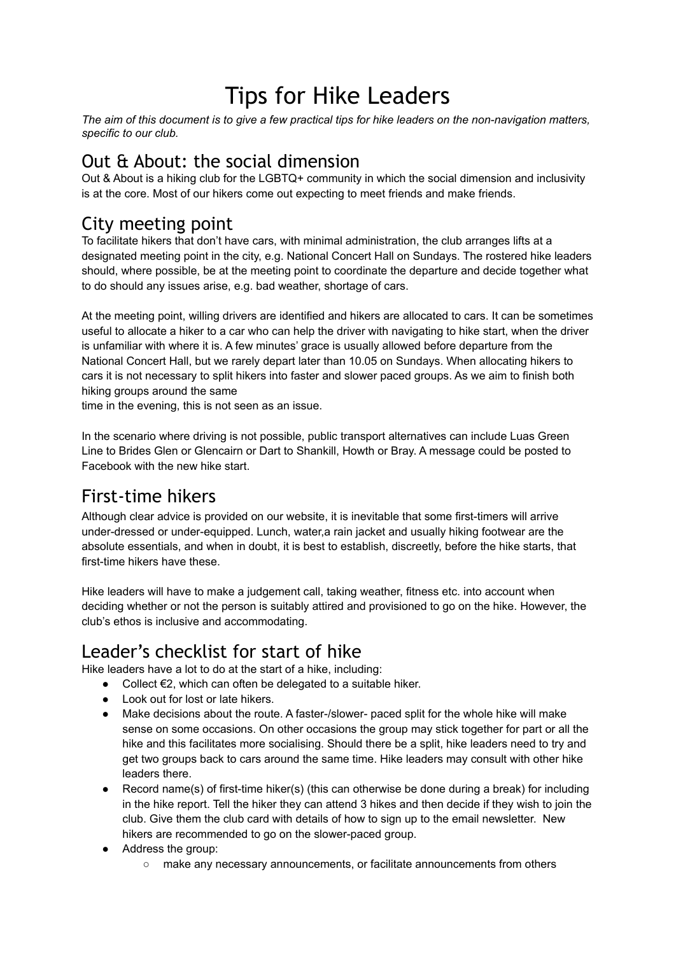# Tips for Hike Leaders

The aim of this document is to give a few practical tips for hike leaders on the non-navigation matters. *specific to our club.*

#### Out & About: the social dimension

Out & About is a hiking club for the LGBTQ+ community in which the social dimension and inclusivity is at the core. Most of our hikers come out expecting to meet friends and make friends.

#### City meeting point

To facilitate hikers that don't have cars, with minimal administration, the club arranges lifts at a designated meeting point in the city, e.g. National Concert Hall on Sundays. The rostered hike leaders should, where possible, be at the meeting point to coordinate the departure and decide together what to do should any issues arise, e.g. bad weather, shortage of cars.

At the meeting point, willing drivers are identified and hikers are allocated to cars. It can be sometimes useful to allocate a hiker to a car who can help the driver with navigating to hike start, when the driver is unfamiliar with where it is. A few minutes' grace is usually allowed before departure from the National Concert Hall, but we rarely depart later than 10.05 on Sundays. When allocating hikers to cars it is not necessary to split hikers into faster and slower paced groups. As we aim to finish both hiking groups around the same

time in the evening, this is not seen as an issue.

In the scenario where driving is not possible, public transport alternatives can include Luas Green Line to Brides Glen or Glencairn or Dart to Shankill, Howth or Bray. A message could be posted to Facebook with the new hike start.

#### First-time hikers

Although clear advice is provided on our website, it is inevitable that some first-timers will arrive under-dressed or under-equipped. Lunch, water,a rain jacket and usually hiking footwear are the absolute essentials, and when in doubt, it is best to establish, discreetly, before the hike starts, that first-time hikers have these.

Hike leaders will have to make a judgement call, taking weather, fitness etc. into account when deciding whether or not the person is suitably attired and provisioned to go on the hike. However, the club's ethos is inclusive and accommodating.

#### Leader's checklist for start of hike

Hike leaders have a lot to do at the start of a hike, including:

- $\bullet$  Collect €2, which can often be delegated to a suitable hiker.
- Look out for lost or late hikers.
- Make decisions about the route. A faster-/slower- paced split for the whole hike will make sense on some occasions. On other occasions the group may stick together for part or all the hike and this facilitates more socialising. Should there be a split, hike leaders need to try and get two groups back to cars around the same time. Hike leaders may consult with other hike leaders there.
- $\bullet$  Record name(s) of first-time hiker(s) (this can otherwise be done during a break) for including in the hike report. Tell the hiker they can attend 3 hikes and then decide if they wish to join the club. Give them the club card with details of how to sign up to the email newsletter. New hikers are recommended to go on the slower-paced group.
- Address the group:
	- make any necessary announcements, or facilitate announcements from others